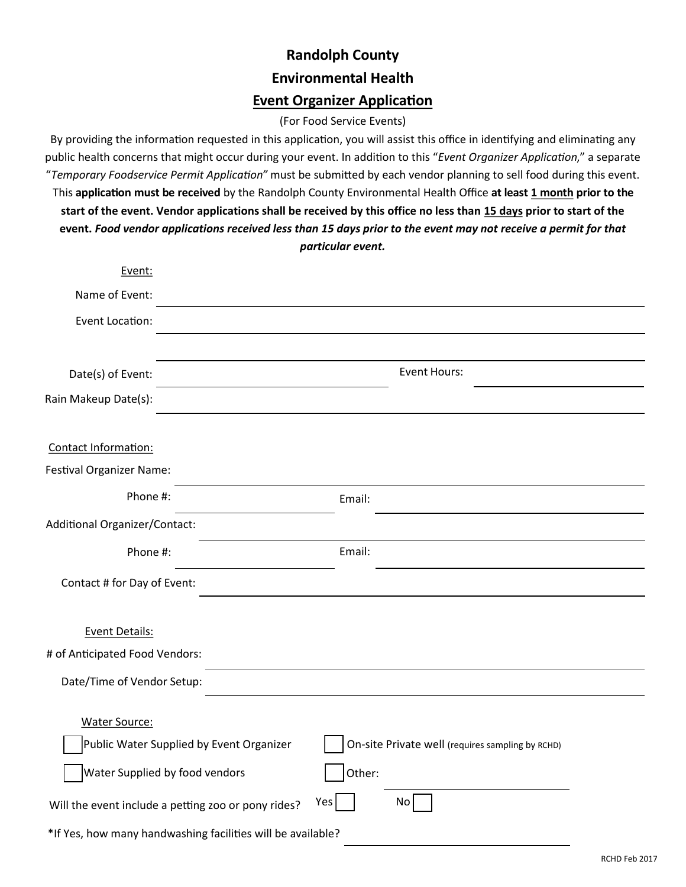# **Randolph County Environmental Health Event Organizer Application**

### (For Food Service Events)

By providing the information requested in this application, you will assist this office in identifying and eliminating any public health concerns that might occur during your event. In addition to this "*Event Organizer Application*," a separate "*Temporary Foodservice Permit Application"* must be submitted by each vendor planning to sell food during this event. This **application must be received** by the Randolph County Environmental Health Office **at least 1 month prior to the start of the event. Vendor applications shall be received by this office no less than 15 days prior to start of the event.** *Food vendor applications received less than 15 days prior to the event may not receive a permit for that particular event.*

| Event:                                                      |                                                                                              |  |  |  |
|-------------------------------------------------------------|----------------------------------------------------------------------------------------------|--|--|--|
| Name of Event:                                              |                                                                                              |  |  |  |
| Event Location:                                             |                                                                                              |  |  |  |
|                                                             |                                                                                              |  |  |  |
| Date(s) of Event:                                           | <b>Event Hours:</b>                                                                          |  |  |  |
| Rain Makeup Date(s):                                        |                                                                                              |  |  |  |
|                                                             |                                                                                              |  |  |  |
| Contact Information:                                        |                                                                                              |  |  |  |
| Festival Organizer Name:                                    |                                                                                              |  |  |  |
| Phone #:                                                    | Email:                                                                                       |  |  |  |
| Additional Organizer/Contact:                               |                                                                                              |  |  |  |
| Phone #:                                                    | Email:                                                                                       |  |  |  |
| Contact # for Day of Event:                                 |                                                                                              |  |  |  |
|                                                             |                                                                                              |  |  |  |
| <b>Event Details:</b>                                       |                                                                                              |  |  |  |
| # of Anticipated Food Vendors:                              |                                                                                              |  |  |  |
| Date/Time of Vendor Setup:                                  |                                                                                              |  |  |  |
| <b>Water Source:</b>                                        |                                                                                              |  |  |  |
|                                                             | Public Water Supplied by Event Organizer<br>On-site Private well (requires sampling by RCHD) |  |  |  |
|                                                             |                                                                                              |  |  |  |
| Water Supplied by food vendors                              | Other:                                                                                       |  |  |  |
| Will the event include a petting zoo or pony rides?         | Yes<br>No                                                                                    |  |  |  |
| *If Yes, how many handwashing facilities will be available? |                                                                                              |  |  |  |